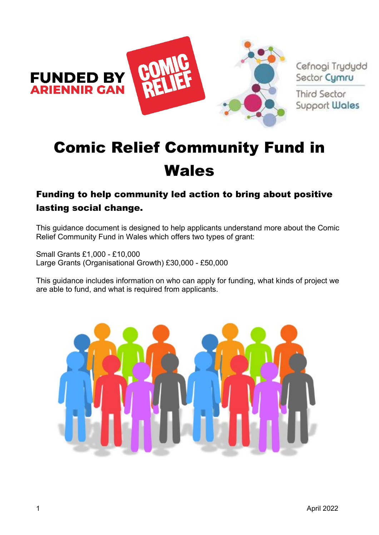

Cefnogi Trydydd Sector Cymru Third Sector **Support Wales** 

# Comic Relief Community Fund in Wales

# Funding to help community led action to bring about positive lasting social change.

This guidance document is designed to help applicants understand more about the Comic Relief Community Fund in Wales which offers two types of grant:

Small Grants £1,000 - £10,000 Large Grants (Organisational Growth) £30,000 - £50,000

This guidance includes information on who can apply for funding, what kinds of project we are able to fund, and what is required from applicants.

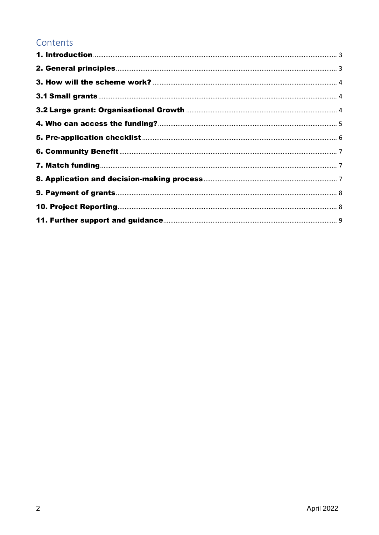# Contents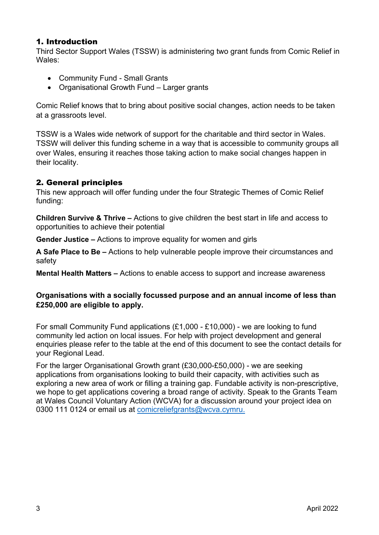#### <span id="page-2-0"></span>1. Introduction

Third Sector Support Wales (TSSW) is administering two grant funds from Comic Relief in Wales:

- Community Fund Small Grants
- Organisational Growth Fund Larger grants

Comic Relief knows that to bring about positive social changes, action needs to be taken at a grassroots level.

TSSW is a Wales wide network of support for the charitable and third sector in Wales. TSSW will deliver this funding scheme in a way that is accessible to community groups all over Wales, ensuring it reaches those taking action to make social changes happen in their locality.

# <span id="page-2-1"></span>2. General principles

This new approach will offer funding under the four Strategic Themes of Comic Relief funding:

**Children Survive & Thrive –** Actions to give children the best start in life and access to opportunities to achieve their potential

**Gender Justice –** Actions to improve equality for women and girls

**A Safe Place to Be –** Actions to help vulnerable people improve their circumstances and safety

**Mental Health Matters –** Actions to enable access to support and increase awareness

#### **Organisations with a socially focussed purpose and an annual income of less than £250,000 are eligible to apply.**

For small Community Fund applications (£1,000 - £10,000) - we are looking to fund community led action on local issues. For help with project development and general enquiries please refer to the table at the end of this document to see the contact details for your Regional Lead.

For the larger Organisational Growth grant (£30,000-£50,000) - we are seeking applications from organisations looking to build their capacity, with activities such as exploring a new area of work or filling a training gap. Fundable activity is non-prescriptive, we hope to get applications covering a broad range of activity. Speak to the Grants Team at Wales Council Voluntary Action (WCVA) for a discussion around your project idea on 0300 111 0124 or email us at [comicreliefgrants@wcva.cymru.](mailto:comicreliefgrants@wcva.cymru)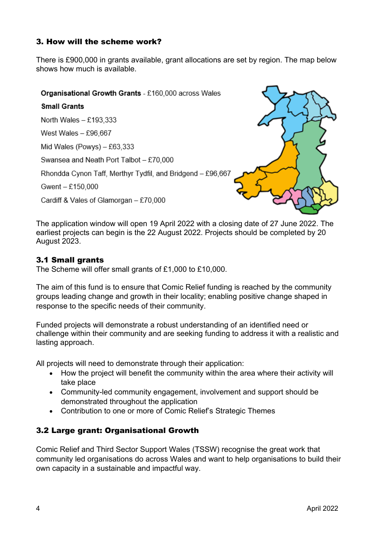## <span id="page-3-0"></span>3. How will the scheme work?

There is £900,000 in grants available, grant allocations are set by region. The map below shows how much is available.

Organisational Growth Grants - £160,000 across Wales

#### **Small Grants**

North Wales - £193.333 West Wales - £96,667 Mid Wales (Powys) - £63,333 Swansea and Neath Port Talbot - £70,000 Rhondda Cynon Taff, Merthyr Tydfil, and Bridgend - £96,667 Gwent - £150.000 Cardiff & Vales of Glamorgan - £70,000



The application window will open 19 April 2022 with a closing date of 27 June 2022. The earliest projects can begin is the 22 August 2022. Projects should be completed by 20 August 2023.

## <span id="page-3-1"></span>3.1 Small grants

The Scheme will offer small grants of £1,000 to £10,000.

The aim of this fund is to ensure that Comic Relief funding is reached by the community groups leading change and growth in their locality; enabling positive change shaped in response to the specific needs of their community.

Funded projects will demonstrate a robust understanding of an identified need or challenge within their community and are seeking funding to address it with a realistic and lasting approach.

All projects will need to demonstrate through their application:

- How the project will benefit the community within the area where their activity will take place
- Community-led community engagement, involvement and support should be demonstrated throughout the application
- Contribution to one or more of Comic Relief's Strategic Themes

# <span id="page-3-2"></span>3.2 Large grant: Organisational Growth

Comic Relief and Third Sector Support Wales (TSSW) recognise the great work that community led organisations do across Wales and want to help organisations to build their own capacity in a sustainable and impactful way.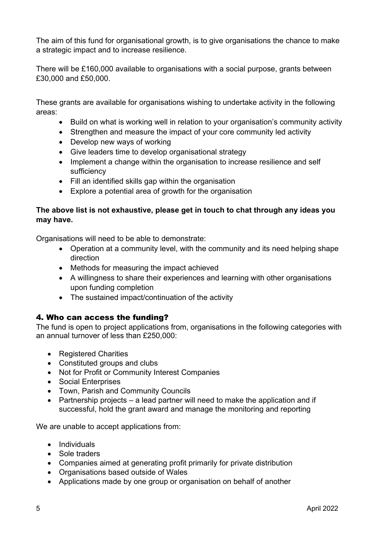The aim of this fund for organisational growth, is to give organisations the chance to make a strategic impact and to increase resilience.

There will be £160,000 available to organisations with a social purpose, grants between £30,000 and £50,000.

These grants are available for organisations wishing to undertake activity in the following areas:

- Build on what is working well in relation to your organisation's community activity
- Strengthen and measure the impact of your core community led activity
- Develop new ways of working
- Give leaders time to develop organisational strategy
- Implement a change within the organisation to increase resilience and self sufficiency
- Fill an identified skills gap within the organisation
- Explore a potential area of growth for the organisation

#### **The above list is not exhaustive, please get in touch to chat through any ideas you may have.**

Organisations will need to be able to demonstrate:

- Operation at a community level, with the community and its need helping shape direction
- Methods for measuring the impact achieved
- A willingness to share their experiences and learning with other organisations upon funding completion
- The sustained impact/continuation of the activity

#### <span id="page-4-0"></span>4. Who can access the funding?

The fund is open to project applications from, organisations in the following categories with an annual turnover of less than £250,000:

- Registered Charities
- Constituted groups and clubs
- Not for Profit or Community Interest Companies
- Social Enterprises
- Town, Parish and Community Councils
- Partnership projects a lead partner will need to make the application and if successful, hold the grant award and manage the monitoring and reporting

We are unable to accept applications from:

- Individuals
- Sole traders
- Companies aimed at generating profit primarily for private distribution
- Organisations based outside of Wales
- Applications made by one group or organisation on behalf of another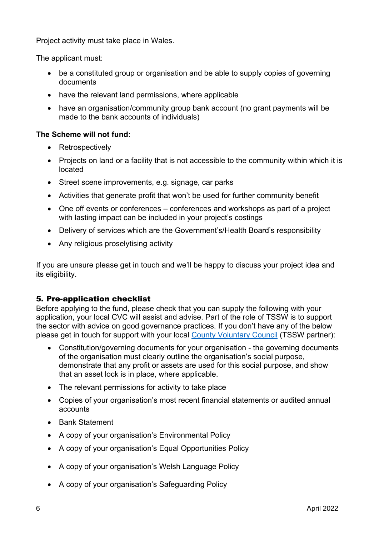Project activity must take place in Wales.

The applicant must:

- be a constituted group or organisation and be able to supply copies of governing documents
- have the relevant land permissions, where applicable
- have an organisation/community group bank account (no grant payments will be made to the bank accounts of individuals)

#### **The Scheme will not fund:**

- Retrospectively
- Projects on land or a facility that is not accessible to the community within which it is located
- Street scene improvements, e.g. signage, car parks
- Activities that generate profit that won't be used for further community benefit
- One off events or conferences conferences and workshops as part of a project with lasting impact can be included in your project's costings
- Delivery of services which are the Government's/Health Board's responsibility
- Any religious proselytising activity

If you are unsure please get in touch and we'll be happy to discuss your project idea and its eligibility.

#### <span id="page-5-0"></span>5. Pre-application checklist

Before applying to the fund, please check that you can supply the following with your application, your local CVC will assist and advise. Part of the role of TSSW is to support the sector with advice on good governance practices. If you don't have any of the below please get in touch for support with your local [County Voluntary Council](https://thirdsectorsupport.wales/) (TSSW partner):

- Constitution/governing documents for your organisation the governing documents of the organisation must clearly outline the organisation's social purpose, demonstrate that any profit or assets are used for this social purpose, and show that an asset lock is in place, where applicable.
- The relevant permissions for activity to take place
- Copies of your organisation's most recent financial statements or audited annual accounts
- Bank Statement
- A copy of your organisation's Environmental Policy
- A copy of your organisation's Equal Opportunities Policy
- A copy of your organisation's Welsh Language Policy
- A copy of your organisation's Safeguarding Policy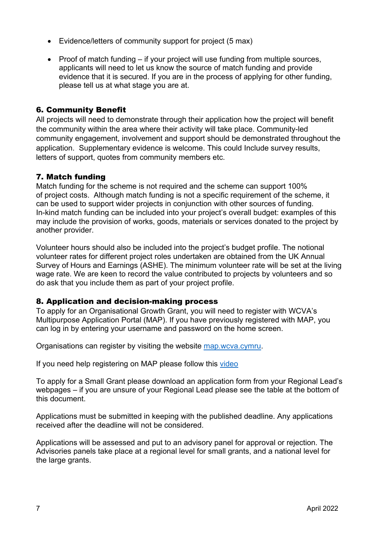- Evidence/letters of community support for project (5 max)
- Proof of match funding if your project will use funding from multiple sources, applicants will need to let us know the source of match funding and provide evidence that it is secured. If you are in the process of applying for other funding, please tell us at what stage you are at.

#### <span id="page-6-0"></span>6. Community Benefit

All projects will need to demonstrate through their application how the project will benefit the community within the area where their activity will take place. Community-led community engagement, involvement and support should be demonstrated throughout the application. Supplementary evidence is welcome. This could Include survey results, letters of support, quotes from community members etc.

#### <span id="page-6-1"></span>7. Match funding

Match funding for the scheme is not required and the scheme can support 100% of project costs. Although match funding is not a specific requirement of the scheme, it can be used to support wider projects in conjunction with other sources of funding. In-kind match funding can be included into your project's overall budget: examples of this may include the provision of works, goods, materials or services donated to the project by another provider.

Volunteer hours should also be included into the project's budget profile. The notional volunteer rates for different project roles undertaken are obtained from the UK Annual Survey of Hours and Earnings (ASHE). The minimum volunteer rate will be set at the living wage rate. We are keen to record the value contributed to projects by volunteers and so do ask that you include them as part of your project profile.

#### <span id="page-6-2"></span>8. Application and decision-making process

To apply for an Organisational Growth Grant, you will need to register with WCVA's Multipurpose Application Portal (MAP). If you have previously registered with MAP, you can log in by entering your username and password on the home screen.

Organisations can register by visiting the website [map.wcva.cymru.](https://map.wcva.cymru/)

If you need help registering on MAP please follow this [video](https://www.youtube.com/watch?v=N3J-TbbeDjc)

To apply for a Small Grant please download an application form from your Regional Lead's webpages – if you are unsure of your Regional Lead please see the table at the bottom of this document.

Applications must be submitted in keeping with the published deadline. Any applications received after the deadline will not be considered.

Applications will be assessed and put to an advisory panel for approval or rejection. The Advisories panels take place at a regional level for small grants, and a national level for the large grants.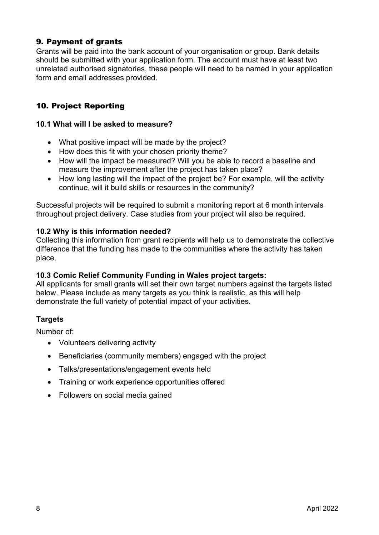# <span id="page-7-0"></span>9. Payment of grants

Grants will be paid into the bank account of your organisation or group. Bank details should be submitted with your application form. The account must have at least two unrelated authorised signatories, these people will need to be named in your application form and email addresses provided.

# <span id="page-7-1"></span>10. Project Reporting

#### **10.1 What will I be asked to measure?**

- What positive impact will be made by the project?
- How does this fit with your chosen priority theme?
- How will the impact be measured? Will you be able to record a baseline and measure the improvement after the project has taken place?
- How long lasting will the impact of the project be? For example, will the activity continue, will it build skills or resources in the community?

Successful projects will be required to submit a monitoring report at 6 month intervals throughout project delivery. Case studies from your project will also be required.

#### **10.2 Why is this information needed?**

Collecting this information from grant recipients will help us to demonstrate the collective difference that the funding has made to the communities where the activity has taken place.

#### **10.3 Comic Relief Community Funding in Wales project targets:**

All applicants for small grants will set their own target numbers against the targets listed below. Please include as many targets as you think is realistic, as this will help demonstrate the full variety of potential impact of your activities.

#### **Targets**

Number of:

- Volunteers delivering activity
- Beneficiaries (community members) engaged with the project
- Talks/presentations/engagement events held
- Training or work experience opportunities offered
- Followers on social media gained